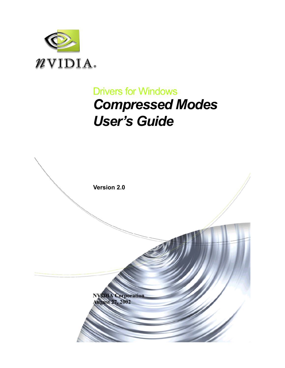

# Drivers for Windows *Compressed Modes*  User's Guide

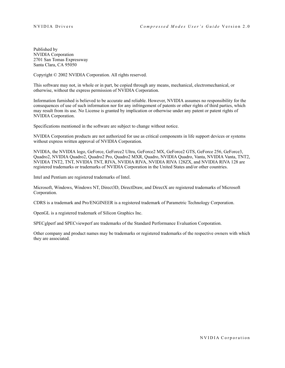Published by NVIDIA Corporation 2701 San Tomas Expressway Santa Clara, CA 95050

Copyright © 2002 NVIDIA Corporation. All rights reserved.

This software may not, in whole or in part, be copied through any means, mechanical, electromechanical, or otherwise, without the express permission of NVIDIA Corporation.

Information furnished is believed to be accurate and reliable. However, NVIDIA assumes no responsibility for the consequences of use of such information nor for any infringement of patents or other rights of third parties, which may result from its use. No License is granted by implication or otherwise under any patent or patent rights of NVIDIA Corporation.

Specifications mentioned in the software are subject to change without notice.

NVIDIA Corporation products are not authorized for use as critical components in life support devices or systems without express written approval of NVIDIA Corporation.

NVIDIA, the NVIDIA logo, GeForce, GeForce2 Ultra, GeForce2 MX, GeForce2 GTS, GeForce 256, GeForce3, Quadro2, NVIDIA Quadro2, Quadro2 Pro, Quadro2 MXR, Quadro, NVIDIA Quadro, Vanta, NVIDIA Vanta, TNT2, NVIDIA TNT2, TNT, NVIDIA TNT, RIVA, NVIDIA RIVA, NVIDIA RIVA 128ZX, and NVIDIA RIVA 128 are registered trademarks or trademarks of NVIDIA Corporation in the United States and/or other countries.

Intel and Pentium are registered trademarks of Intel.

Microsoft, Windows, Windows NT, Direct3D, DirectDraw, and DirectX are registered trademarks of Microsoft Corporation.

CDRS is a trademark and Pro/ENGINEER is a registered trademark of Parametric Technology Corporation.

OpenGL is a registered trademark of Silicon Graphics Inc.

SPECglperf and SPECviewperf are trademarks of the Standard Performance Evaluation Corporation.

Other company and product names may be trademarks or registered trademarks of the respective owners with which they are associated.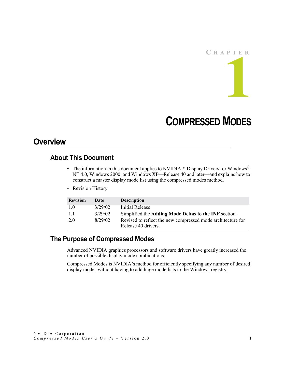### **C HAPTER**



# **COMPRESSED MODES**

## **Overview**

## **About This Document**

• The information in this document applies to NVIDIA<sup>TM</sup> Display Drivers for Windows<sup>®</sup> NT 4.0, Windows 2000, and Windows XP—Release 40 and later—and explains how to construct a master display mode list using the compressed modes method.

| <b>Revision History</b> |  |
|-------------------------|--|
|                         |  |

| <b>Revision</b> | Date    | <b>Description</b>                                                                 |
|-----------------|---------|------------------------------------------------------------------------------------|
| 1.0             | 3/29/02 | Initial Release                                                                    |
| 11              | 3/29/02 | Simplified the Adding Mode Deltas to the INF section.                              |
| 2 0             | 8/29/02 | Revised to reflect the new compressed mode architecture for<br>Release 40 drivers. |

## **The Purpose of Compressed Modes**

Advanced NVIDIA graphics processors and software drivers have greatly increased the number of possible display mode combinations.

Compressed Modes is NVIDIA's method for efficiently specifying any number of desired display modes without having to add huge mode lists to the Windows registry.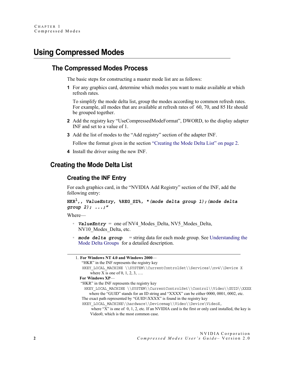## **Using Compressed Modes**

## **The Compressed Modes Process**

The basic steps for constructing a master mode list are as follows:

1 For any graphics card, determine which modes you want to make available at which refresh rates.

To simplify the mode delta list, group the modes according to common refresh rates. For example, all modes that are available at refresh rates of 60, 70, and 85 Hz should be grouped together.

- **2** Add the registry key "UseCompressedModeFormat", DWORD, to the display adapter INF and set to a value of 1.
- **3** Add the list of modes to the "Add registry" section of the adapter INF.

Follow the format given in the section "Creating the Mode Delta List" on page 2.

4 Install the driver using the new INF.

## <span id="page-3-0"></span>**Creating the Mode Delta List**

### **Creating the INF Entry**

For each graphics card, in the "NVIDIA Add Registry" section of the INF, add the following entry:

```
HKR<sup>1</sup>,, ValueEntry, REG_SZ\, "(mode delta group 1); (mode delta
group 2); ...;"
```
Where-

- **ValueEntry** = one of NV4 Modes Delta, NV5 Modes Delta, NV10 Modes Delta, etc.
- mode delta group  $=$  string data for each mode group. See Understanding the Mode Delta Groups for a detailed description.

| 1. For Windows NT 4.0 and Windows 2000—                                                                |
|--------------------------------------------------------------------------------------------------------|
| "HKR" in the INF represents the registry key                                                           |
| HKEY LOCAL MACHINE \\SYSTEM\\CurrentControlSet\\Services\\nv4\\Device X                                |
| where X is one of 0, 1, 2, 3,                                                                          |
| For Windows XP—                                                                                        |
| "HKR" in the INF represents the registry key                                                           |
| HKEY LOCAL MACHINE \\SYSTEM\\CurrentControlSet\\Control\\Video\\GUID\\XXXX                             |
| where the "GUID" stands for an ID string and "XXXX" can be either 0000, 0001, 0002, etc.               |
| The exact path represented by "GUID\\XXXX" is found in the registry key                                |
| HKEY LOCAL MACHINE\\hardware\\Devicemap\\Video\\Device\VideoX,                                         |
| where "X" is one of $0, 1, 2$ , etc. If an NVIDIA card is the first or only card installed, the key is |
| Video0, which is the most common case.                                                                 |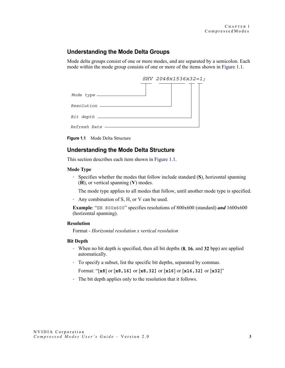## <span id="page-4-0"></span>**Understanding the Mode Delta Groups**

Mode delta groups consist of one or more modes, and are separated by a semicolon. Each mode within the mode group consists of one or more of the items shown in [Figure 1.1.](#page-4-1)



<span id="page-4-1"></span>**Figure 1.1** Mode Delta Structure

## **Understanding the Mode Delta Structure**

This section describes each item shown in [Figure 1.1.](#page-4-1)

#### **Mode Type**

**ï** Specifies whether the modes that follow include standard (**S**), horizontal spanning (**H**), or vertical spanning (**V**) modes.

The mode type applies to all modes that follow, until another mode type is specified.

**ï** Any combination of S, H, or V can be used.

**Example**: "SH 800x600" specifies resolutions of 800x600 (standard) *and* 1600x600 (horizontal spanning).

#### **Resolution**

Format - *Horizontal resolution x vertical resolution*

#### **Bit Depth**

- **ï** When no bit depth is specified, then all bit depths (**8**, **16**, and **32** bpp) are applied automatically.
- **ï** To specify a subset, list the specific bit depths, separated by commas.

Format: ì[**x8**] or [**x8,16]** or [**x8,32]** or [**x16**] or [**x16,32]** or [**x32**]î

**ï** The bit depth applies only to the resolution that it follows.